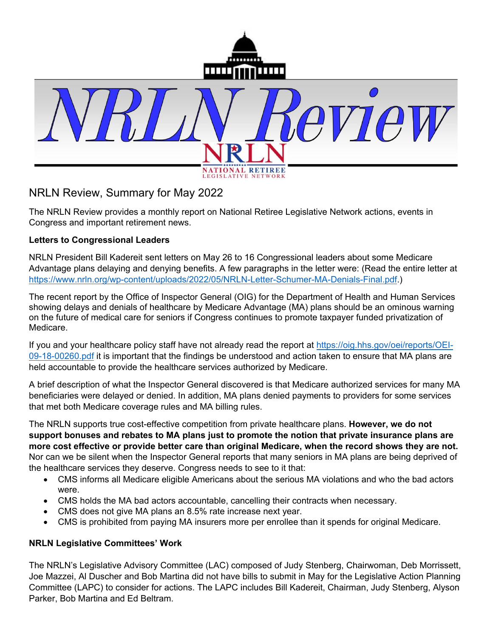

## NRLN Review, Summary for May 2022

The NRLN Review provides a monthly report on National Retiree Legislative Network actions, events in Congress and important retirement news.

## **Letters to Congressional Leaders**

NRLN President Bill Kadereit sent letters on May 26 to 16 Congressional leaders about some Medicare Advantage plans delaying and denying benefits. A few paragraphs in the letter were: (Read the entire letter at https://www.nrln.org/wp-content/uploads/2022/05/NRLN-Letter-Schumer-MA-Denials-Final.pdf.)

The recent report by the Office of Inspector General (OIG) for the Department of Health and Human Services showing delays and denials of healthcare by Medicare Advantage (MA) plans should be an ominous warning on the future of medical care for seniors if Congress continues to promote taxpayer funded privatization of Medicare.

If you and your healthcare policy staff have not already read the report at https://oig.hhs.gov/oei/reports/OEI-09-18-00260.pdf it is important that the findings be understood and action taken to ensure that MA plans are held accountable to provide the healthcare services authorized by Medicare.

A brief description of what the Inspector General discovered is that Medicare authorized services for many MA beneficiaries were delayed or denied. In addition, MA plans denied payments to providers for some services that met both Medicare coverage rules and MA billing rules.

The NRLN supports true cost-effective competition from private healthcare plans. **However, we do not support bonuses and rebates to MA plans just to promote the notion that private insurance plans are more cost effective or provide better care than original Medicare, when the record shows they are not.** Nor can we be silent when the Inspector General reports that many seniors in MA plans are being deprived of the healthcare services they deserve. Congress needs to see to it that:

- CMS informs all Medicare eligible Americans about the serious MA violations and who the bad actors were.
- CMS holds the MA bad actors accountable, cancelling their contracts when necessary.
- CMS does not give MA plans an 8.5% rate increase next year.
- CMS is prohibited from paying MA insurers more per enrollee than it spends for original Medicare.

## **NRLN Legislative Committees' Work**

The NRLN's Legislative Advisory Committee (LAC) composed of Judy Stenberg, Chairwoman, Deb Morrissett, Joe Mazzei, Al Duscher and Bob Martina did not have bills to submit in May for the Legislative Action Planning Committee (LAPC) to consider for actions. The LAPC includes Bill Kadereit, Chairman, Judy Stenberg, Alyson Parker, Bob Martina and Ed Beltram.